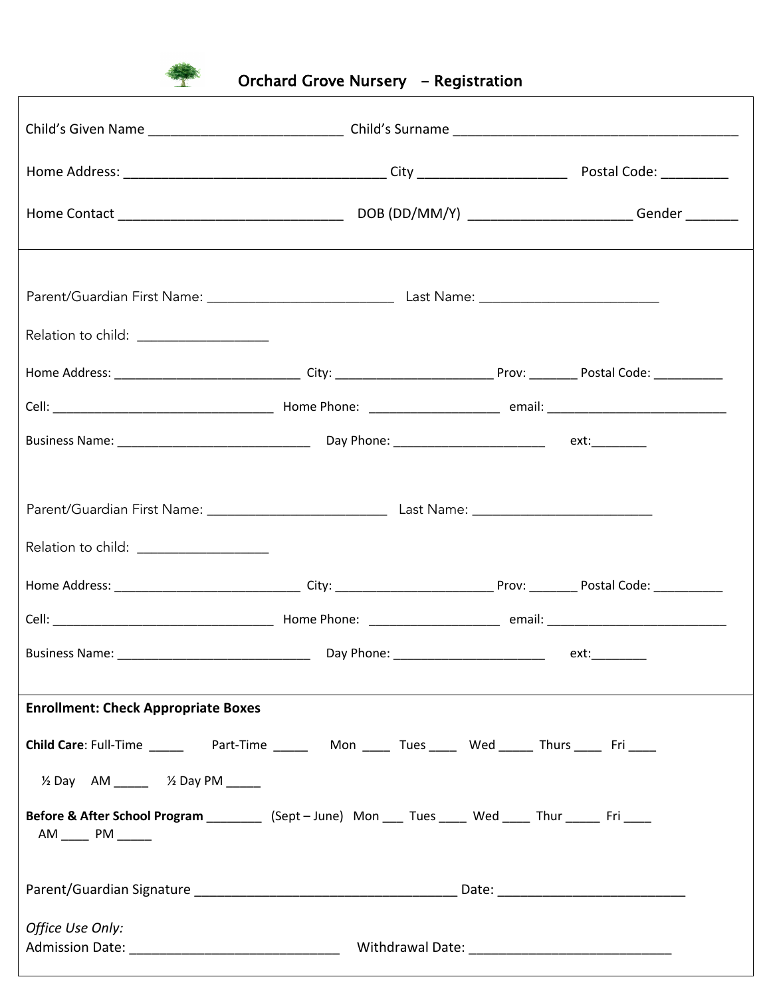

| Relation to child: ______________________                                                                                                                                                |  |  |  |
|------------------------------------------------------------------------------------------------------------------------------------------------------------------------------------------|--|--|--|
|                                                                                                                                                                                          |  |  |  |
|                                                                                                                                                                                          |  |  |  |
|                                                                                                                                                                                          |  |  |  |
| Relation to child: __________________                                                                                                                                                    |  |  |  |
|                                                                                                                                                                                          |  |  |  |
|                                                                                                                                                                                          |  |  |  |
| <b>Enrollment: Check Appropriate Boxes</b>                                                                                                                                               |  |  |  |
| Child Care: Full-Time ______________Part-Time _____________Mon _______Tues _______Wed _______Thurs _______Fri _____                                                                      |  |  |  |
| $\frac{1}{2}$ Day AM _____ $\frac{1}{2}$ Day PM _____<br>Before & After School Program __________ (Sept - June) Mon ____ Tues _____ Wed _____ Thur ______ Fri _____<br>AM _____ PM _____ |  |  |  |
|                                                                                                                                                                                          |  |  |  |
| Office Use Only:                                                                                                                                                                         |  |  |  |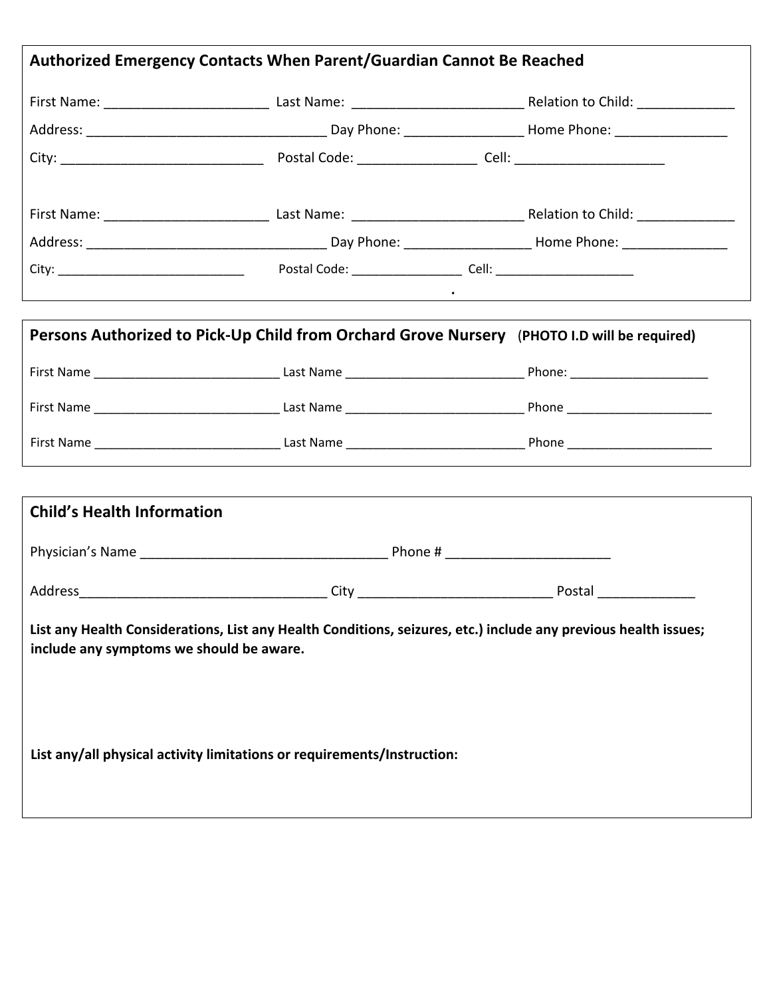| Authorized Emergency Contacts When Parent/Guardian Cannot Be Reached                                                                                        |  |  |  |
|-------------------------------------------------------------------------------------------------------------------------------------------------------------|--|--|--|
|                                                                                                                                                             |  |  |  |
|                                                                                                                                                             |  |  |  |
|                                                                                                                                                             |  |  |  |
|                                                                                                                                                             |  |  |  |
|                                                                                                                                                             |  |  |  |
|                                                                                                                                                             |  |  |  |
|                                                                                                                                                             |  |  |  |
| <u> 1989 - Johann Barbara, martxa alemaniar arg</u>                                                                                                         |  |  |  |
| Persons Authorized to Pick-Up Child from Orchard Grove Nursery (PHOTO I.D will be required)                                                                 |  |  |  |
|                                                                                                                                                             |  |  |  |
|                                                                                                                                                             |  |  |  |
|                                                                                                                                                             |  |  |  |
|                                                                                                                                                             |  |  |  |
| <b>Child's Health Information</b>                                                                                                                           |  |  |  |
|                                                                                                                                                             |  |  |  |
|                                                                                                                                                             |  |  |  |
| List any Health Considerations, List any Health Conditions, seizures, etc.) include any previous health issues;<br>include any symptoms we should be aware. |  |  |  |
| List any/all physical activity limitations or requirements/Instruction:                                                                                     |  |  |  |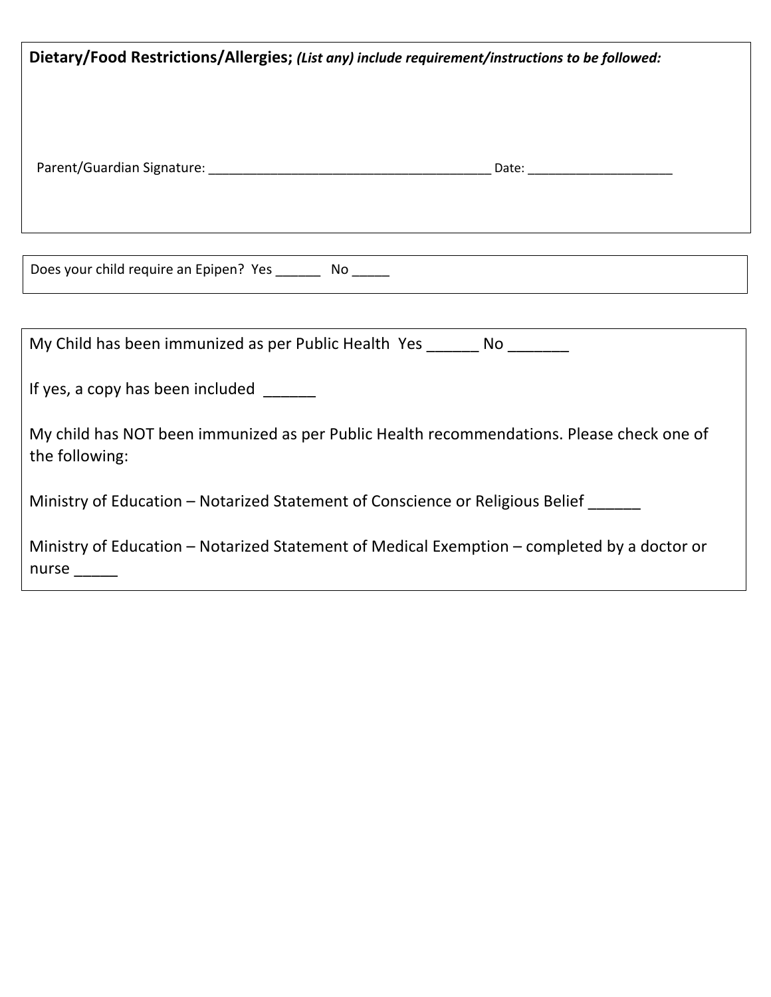| Dietary/Food Restrictions/Allergies; (List any) include requirement/instructions to be followed:                      |
|-----------------------------------------------------------------------------------------------------------------------|
|                                                                                                                       |
| Does your child require an Epipen? Yes _________ No ______                                                            |
|                                                                                                                       |
| My Child has been immunized as per Public Health Yes ________ No ________                                             |
| If yes, a copy has been included ______                                                                               |
| My child has NOT been immunized as per Public Health recommendations. Please check one of<br>the following:           |
| Ministry of Education – Notarized Statement of Conscience or Religious Belief ______                                  |
| Ministry of Education - Notarized Statement of Medical Exemption - completed by a doctor or<br>$n$ urse $\frac{1}{2}$ |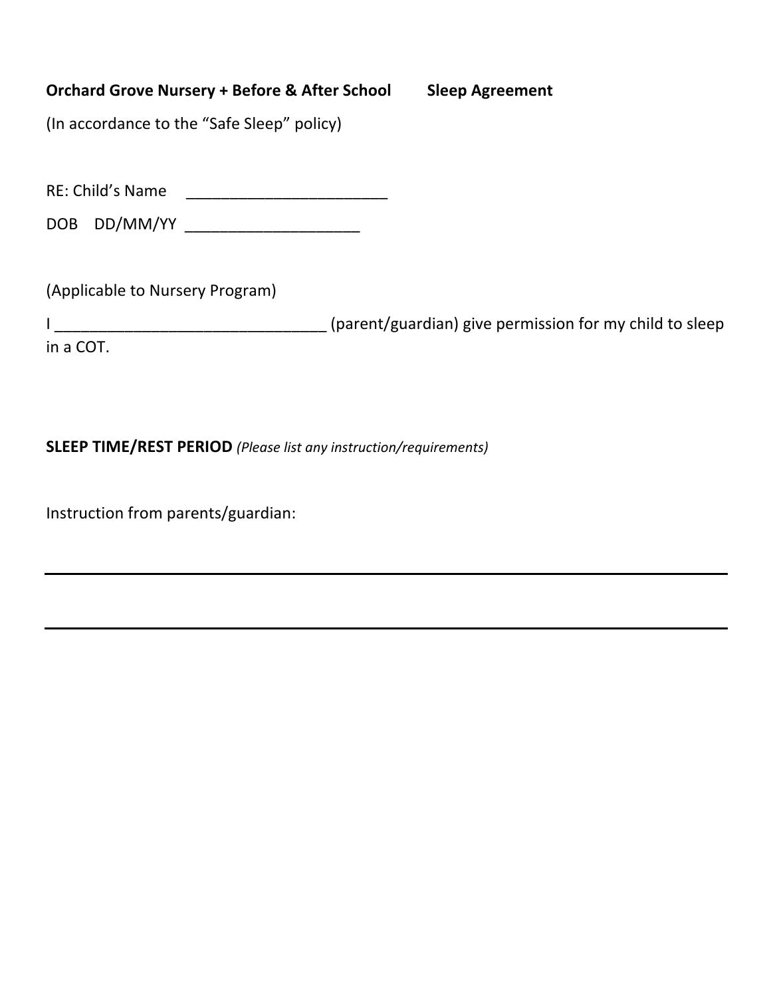## **Orchard Grove Nursery + Before & After School Sleep Agreement**

(In accordance to the "Safe Sleep" policy)

RE: Child's Name \_\_\_\_\_\_\_\_\_\_\_\_\_\_\_\_\_\_\_\_\_\_\_

DOB DD/MM/YY \_\_\_\_\_\_\_\_\_\_\_\_\_\_\_\_\_\_\_\_

(Applicable to Nursery Program)

I \_\_\_\_\_\_\_\_\_\_\_\_\_\_\_\_\_\_\_\_\_\_\_\_\_\_\_\_\_\_\_ (parent/guardian) give permission for my child to sleep in a COT.

## **SLEEP TIME/REST PERIOD** *(Please list any instruction/requirements)*

Instruction from parents/guardian: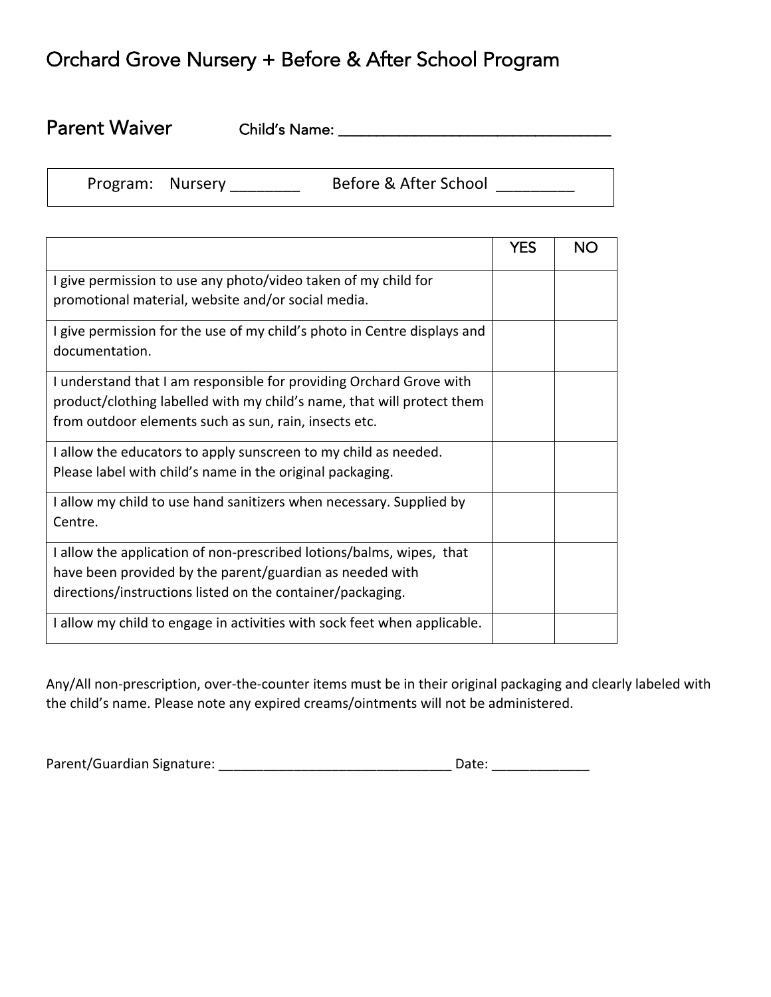## Orchard Grove Nursery + Before & After School Program

| <b>Parent Waiver</b> | <b>Child's Name:</b> |  |
|----------------------|----------------------|--|
|                      |                      |  |

| Program: | <b>Nurse</b> |
|----------|--------------|
|----------|--------------|

 $\overline{a}$ 

Program: Nursery \_\_\_\_\_\_\_\_ Before & After School \_\_\_\_\_\_\_\_\_

|                                                                                                                                                                                                        | <b>YES</b> | <b>NO</b> |
|--------------------------------------------------------------------------------------------------------------------------------------------------------------------------------------------------------|------------|-----------|
| I give permission to use any photo/video taken of my child for<br>promotional material, website and/or social media.                                                                                   |            |           |
| I give permission for the use of my child's photo in Centre displays and<br>documentation.                                                                                                             |            |           |
| I understand that I am responsible for providing Orchard Grove with<br>product/clothing labelled with my child's name, that will protect them<br>from outdoor elements such as sun, rain, insects etc. |            |           |
| I allow the educators to apply sunscreen to my child as needed.<br>Please label with child's name in the original packaging.                                                                           |            |           |
| I allow my child to use hand sanitizers when necessary. Supplied by<br>Centre.                                                                                                                         |            |           |
| I allow the application of non-prescribed lotions/balms, wipes, that<br>have been provided by the parent/guardian as needed with<br>directions/instructions listed on the container/packaging.         |            |           |
| I allow my child to engage in activities with sock feet when applicable.                                                                                                                               |            |           |

Any/All non-prescription, over-the-counter items must be in their original packaging and clearly labeled with the child's name. Please note any expired creams/ointments will not be administered.

| Parent/Guardian Signature: |  |
|----------------------------|--|
|----------------------------|--|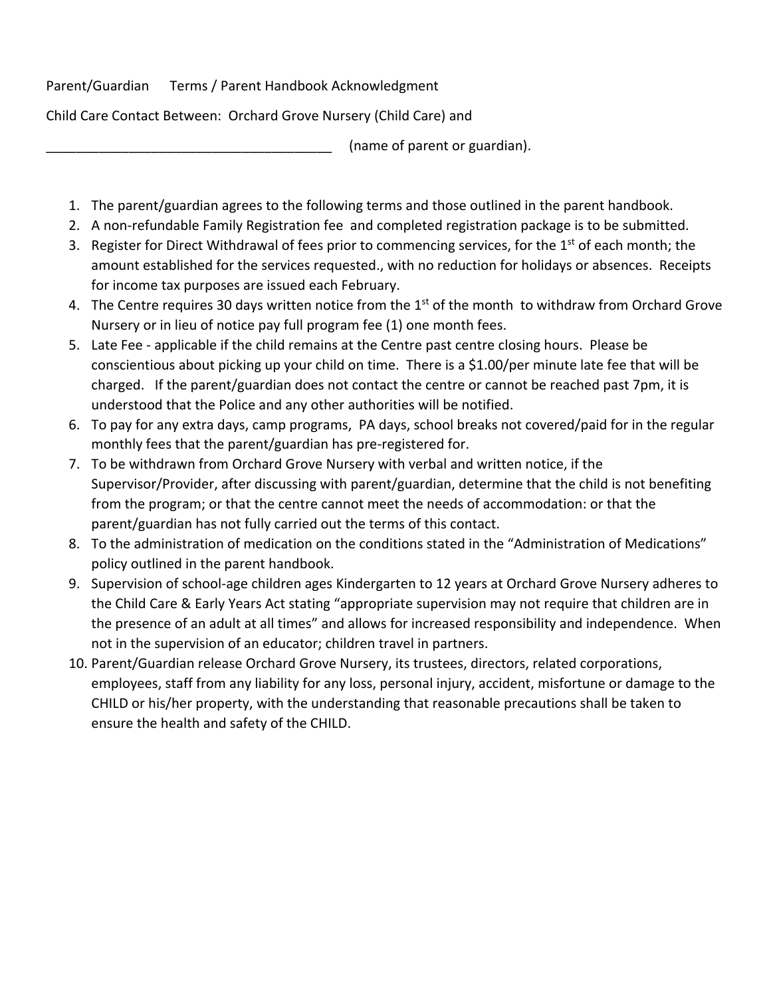Parent/Guardian Terms / Parent Handbook Acknowledgment

Child Care Contact Between: Orchard Grove Nursery (Child Care) and

(name of parent or guardian).

- 1. The parent/guardian agrees to the following terms and those outlined in the parent handbook.
- 2. A non-refundable Family Registration fee and completed registration package is to be submitted.
- 3. Register for Direct Withdrawal of fees prior to commencing services, for the 1<sup>st</sup> of each month; the amount established for the services requested., with no reduction for holidays or absences. Receipts for income tax purposes are issued each February.
- 4. The Centre requires 30 days written notice from the  $1<sup>st</sup>$  of the month to withdraw from Orchard Grove Nursery or in lieu of notice pay full program fee (1) one month fees.
- 5. Late Fee applicable if the child remains at the Centre past centre closing hours. Please be conscientious about picking up your child on time. There is a \$1.00/per minute late fee that will be charged. If the parent/guardian does not contact the centre or cannot be reached past 7pm, it is understood that the Police and any other authorities will be notified.
- 6. To pay for any extra days, camp programs, PA days, school breaks not covered/paid for in the regular monthly fees that the parent/guardian has pre-registered for.
- 7. To be withdrawn from Orchard Grove Nursery with verbal and written notice, if the Supervisor/Provider, after discussing with parent/guardian, determine that the child is not benefiting from the program; or that the centre cannot meet the needs of accommodation: or that the parent/guardian has not fully carried out the terms of this contact.
- 8. To the administration of medication on the conditions stated in the "Administration of Medications" policy outlined in the parent handbook.
- 9. Supervision of school-age children ages Kindergarten to 12 years at Orchard Grove Nursery adheres to the Child Care & Early Years Act stating "appropriate supervision may not require that children are in the presence of an adult at all times" and allows for increased responsibility and independence. When not in the supervision of an educator; children travel in partners.
- 10. Parent/Guardian release Orchard Grove Nursery, its trustees, directors, related corporations, employees, staff from any liability for any loss, personal injury, accident, misfortune or damage to the CHILD or his/her property, with the understanding that reasonable precautions shall be taken to ensure the health and safety of the CHILD.